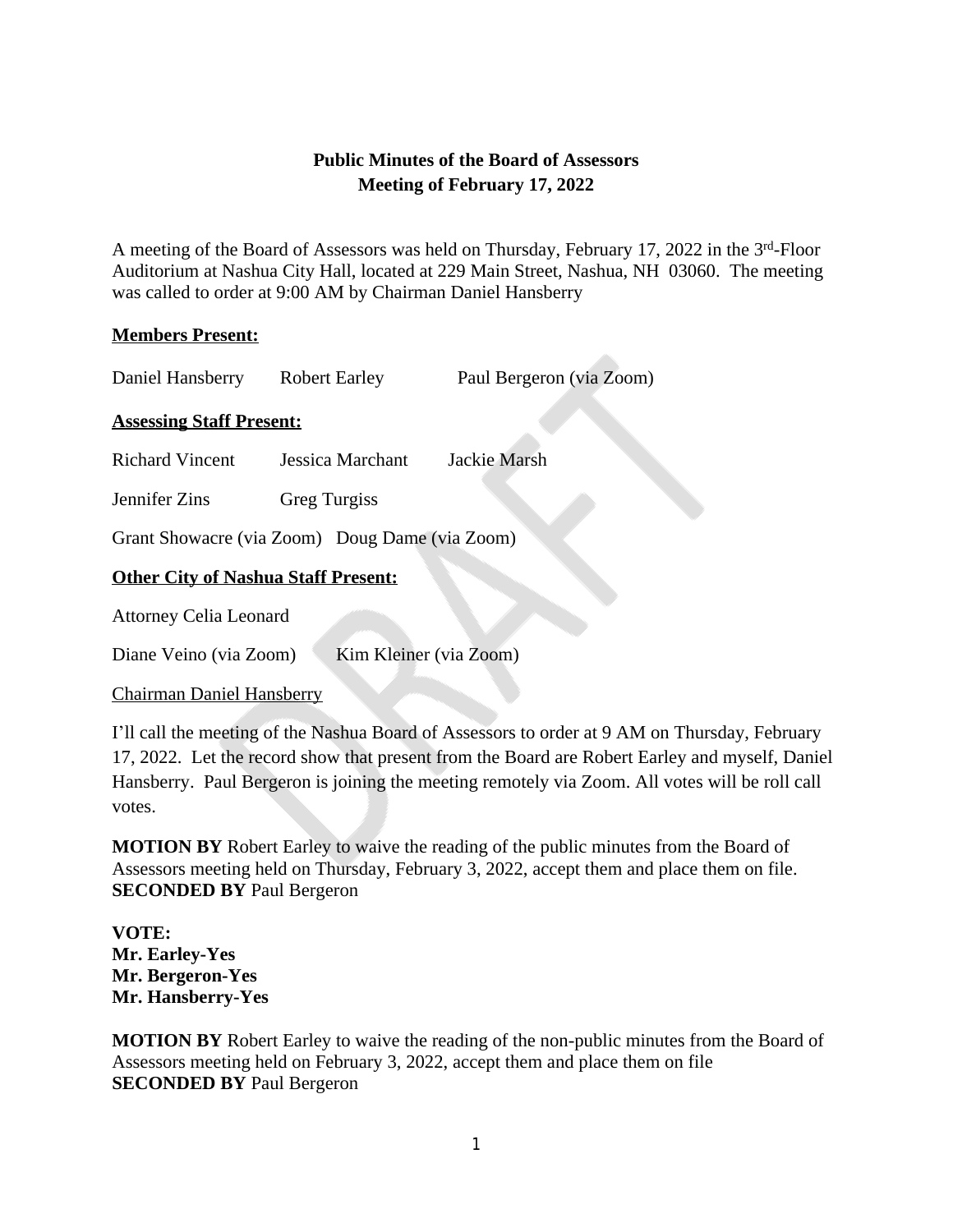# **Public Minutes of the Board of Assessors Meeting of February 17, 2022**

A meeting of the Board of Assessors was held on Thursday, February 17, 2022 in the 3rd-Floor Auditorium at Nashua City Hall, located at 229 Main Street, Nashua, NH 03060. The meeting was called to order at 9:00 AM by Chairman Daniel Hansberry

### **Members Present:**

Daniel Hansberry Robert Earley Paul Bergeron (via Zoom)

# **Assessing Staff Present:**

Richard Vincent Jessica Marchant Jackie Marsh

Jennifer Zins Greg Turgiss

Grant Showacre (via Zoom) Doug Dame (via Zoom)

# **Other City of Nashua Staff Present:**

Attorney Celia Leonard

Diane Veino (via Zoom) Kim Kleiner (via Zoom)

### Chairman Daniel Hansberry

I'll call the meeting of the Nashua Board of Assessors to order at 9 AM on Thursday, February 17, 2022. Let the record show that present from the Board are Robert Earley and myself, Daniel Hansberry. Paul Bergeron is joining the meeting remotely via Zoom. All votes will be roll call votes.

**MOTION BY** Robert Earley to waive the reading of the public minutes from the Board of Assessors meeting held on Thursday, February 3, 2022, accept them and place them on file. **SECONDED BY** Paul Bergeron

**VOTE: Mr. Earley-Yes Mr. Bergeron-Yes Mr. Hansberry-Yes**

**MOTION BY** Robert Earley to waive the reading of the non-public minutes from the Board of Assessors meeting held on February 3, 2022, accept them and place them on file **SECONDED BY** Paul Bergeron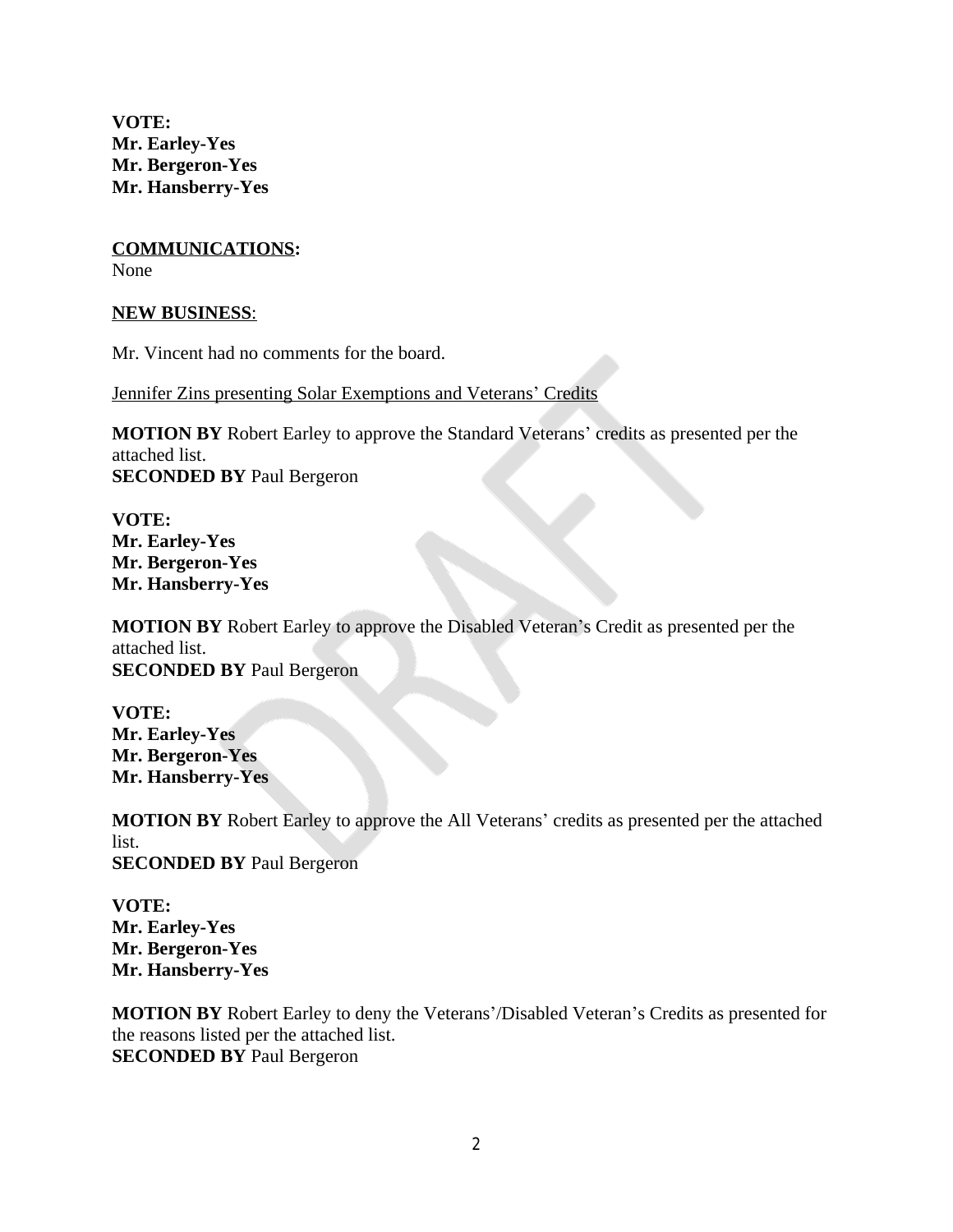**VOTE: Mr. Earley-Yes Mr. Bergeron-Yes Mr. Hansberry-Yes**

**COMMUNICATIONS:** None

#### **NEW BUSINESS**:

Mr. Vincent had no comments for the board.

Jennifer Zins presenting Solar Exemptions and Veterans' Credits

**MOTION BY** Robert Earley to approve the Standard Veterans' credits as presented per the attached list. **SECONDED BY** Paul Bergeron

**VOTE: Mr. Earley-Yes Mr. Bergeron-Yes Mr. Hansberry-Yes**

**MOTION BY** Robert Earley to approve the Disabled Veteran's Credit as presented per the attached list. **SECONDED BY** Paul Bergeron

**VOTE: Mr. Earley-Yes Mr. Bergeron-Yes Mr. Hansberry-Yes**

**MOTION BY** Robert Earley to approve the All Veterans' credits as presented per the attached list. **SECONDED BY** Paul Bergeron

**VOTE: Mr. Earley-Yes Mr. Bergeron-Yes Mr. Hansberry-Yes**

**MOTION BY** Robert Earley to deny the Veterans'/Disabled Veteran's Credits as presented for the reasons listed per the attached list. **SECONDED BY** Paul Bergeron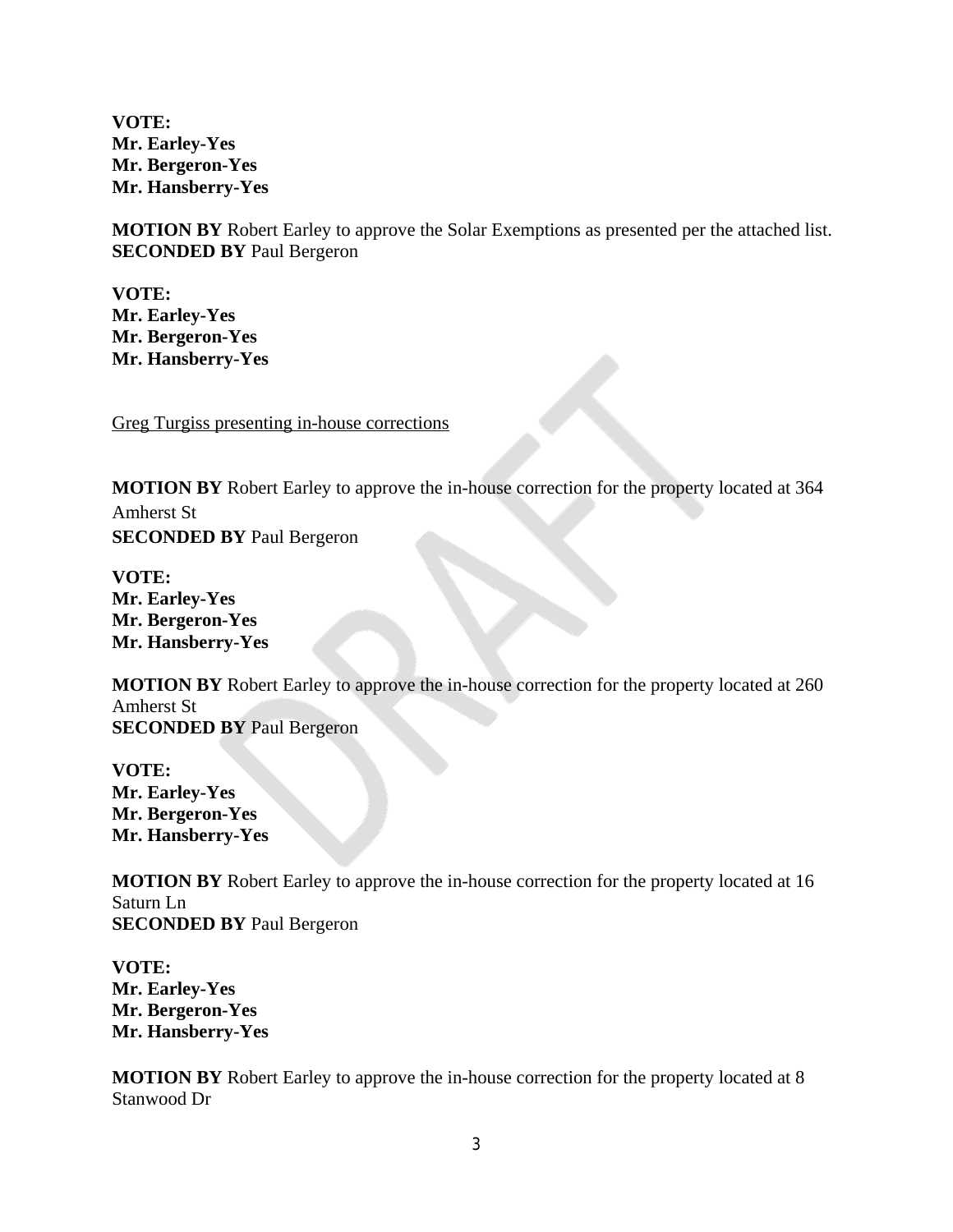**VOTE: Mr. Earley-Yes Mr. Bergeron-Yes Mr. Hansberry-Yes**

**MOTION BY** Robert Earley to approve the Solar Exemptions as presented per the attached list. **SECONDED BY** Paul Bergeron

**VOTE: Mr. Earley-Yes Mr. Bergeron-Yes Mr. Hansberry-Yes**

Greg Turgiss presenting in-house corrections

**MOTION BY** Robert Earley to approve the in-house correction for the property located at 364 Amherst St **SECONDED BY** Paul Bergeron

**VOTE: Mr. Earley-Yes Mr. Bergeron-Yes Mr. Hansberry-Yes**

**MOTION BY** Robert Earley to approve the in-house correction for the property located at 260 Amherst St **SECONDED BY** Paul Bergeron

**VOTE: Mr. Earley-Yes Mr. Bergeron-Yes Mr. Hansberry-Yes**

**MOTION BY** Robert Earley to approve the in-house correction for the property located at 16 Saturn Ln **SECONDED BY** Paul Bergeron

**VOTE: Mr. Earley-Yes Mr. Bergeron-Yes Mr. Hansberry-Yes**

**MOTION BY** Robert Earley to approve the in-house correction for the property located at 8 Stanwood Dr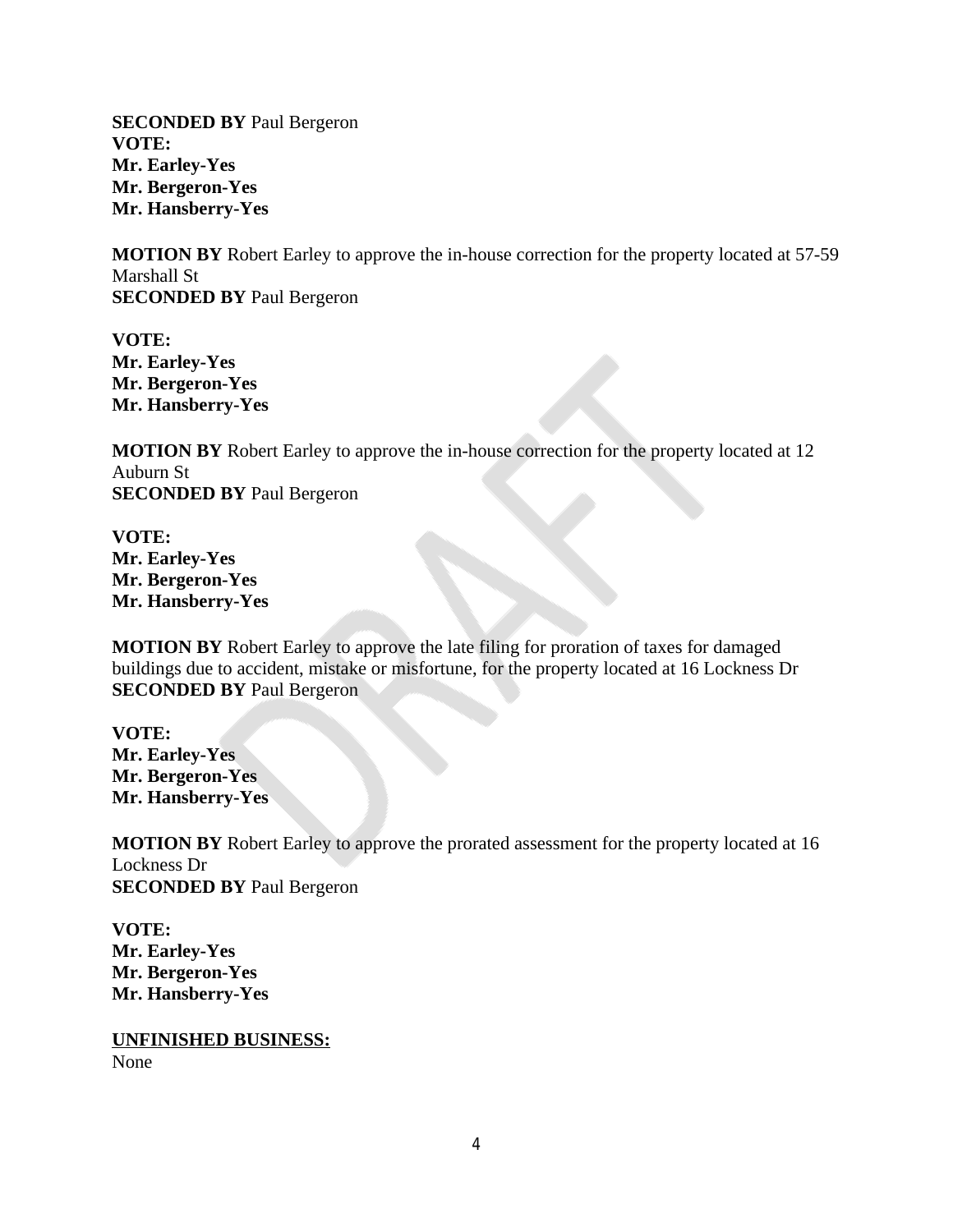**SECONDED BY** Paul Bergeron **VOTE: Mr. Earley-Yes Mr. Bergeron-Yes Mr. Hansberry-Yes**

**MOTION BY** Robert Earley to approve the in-house correction for the property located at 57-59 Marshall St **SECONDED BY** Paul Bergeron

**VOTE: Mr. Earley-Yes Mr. Bergeron-Yes Mr. Hansberry-Yes**

**MOTION BY** Robert Earley to approve the in-house correction for the property located at 12 Auburn St **SECONDED BY** Paul Bergeron

**VOTE: Mr. Earley-Yes Mr. Bergeron-Yes Mr. Hansberry-Yes**

**MOTION BY** Robert Earley to approve the late filing for proration of taxes for damaged buildings due to accident, mistake or misfortune, for the property located at 16 Lockness Dr **SECONDED BY** Paul Bergeron

**VOTE: Mr. Earley-Yes Mr. Bergeron-Yes Mr. Hansberry-Yes**

**MOTION BY** Robert Earley to approve the prorated assessment for the property located at 16 Lockness Dr **SECONDED BY** Paul Bergeron

**VOTE: Mr. Earley-Yes Mr. Bergeron-Yes Mr. Hansberry-Yes**

**UNFINISHED BUSINESS:** None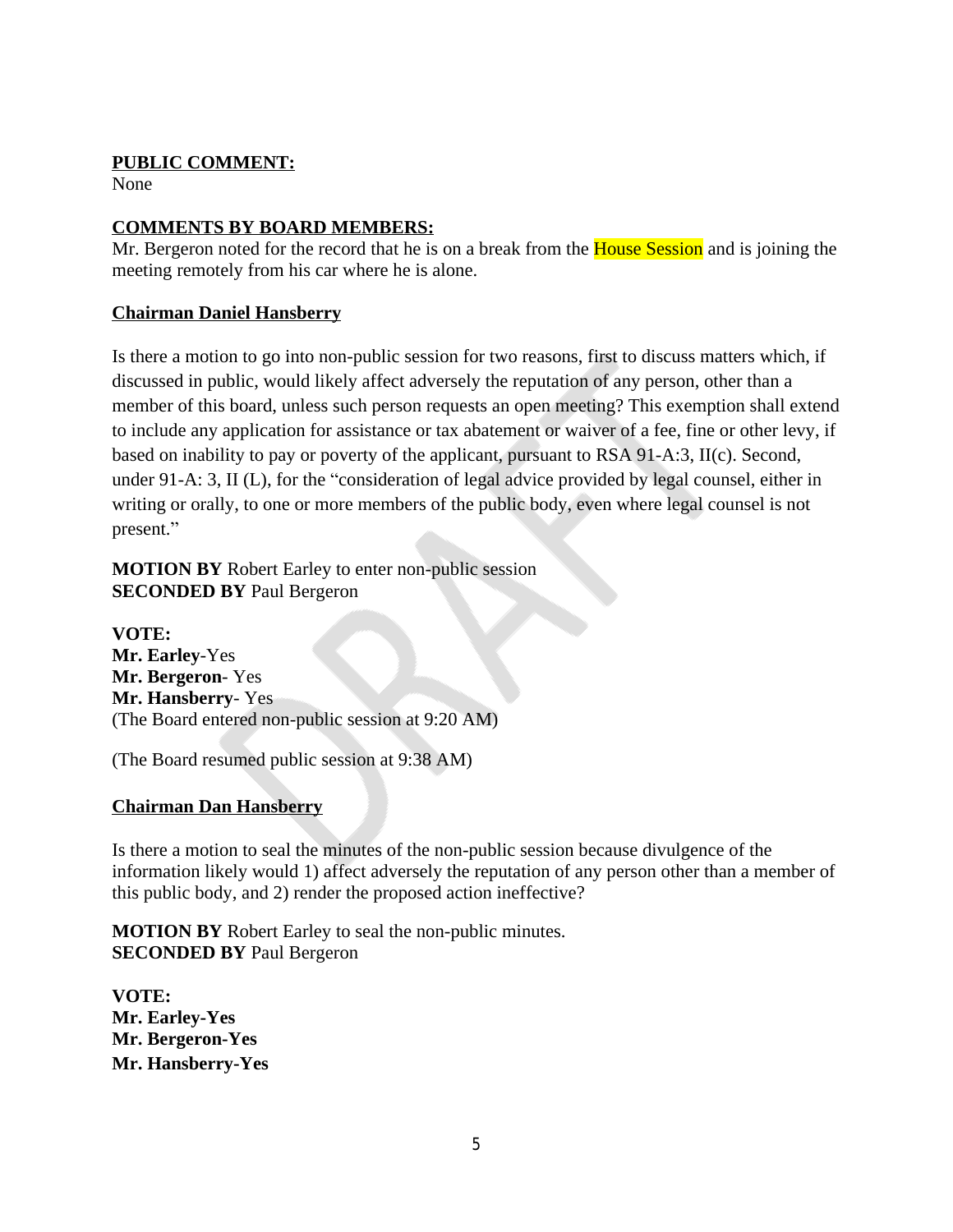# **PUBLIC COMMENT:**

None

# **COMMENTS BY BOARD MEMBERS:**

Mr. Bergeron noted for the record that he is on a break from the **House Session** and is joining the meeting remotely from his car where he is alone.

# **Chairman Daniel Hansberry**

Is there a motion to go into non-public session for two reasons, first to discuss matters which, if discussed in public, would likely affect adversely the reputation of any person, other than a member of this board, unless such person requests an open meeting? This exemption shall extend to include any application for assistance or tax abatement or waiver of a fee, fine or other levy, if based on inability to pay or poverty of the applicant, pursuant to RSA 91-A:3, II(c). Second, under 91-A: 3, II (L), for the "consideration of legal advice provided by legal counsel, either in writing or orally, to one or more members of the public body, even where legal counsel is not present."

**MOTION BY** Robert Earley to enter non-public session **SECONDED BY** Paul Bergeron

**VOTE: Mr. Earley**-Yes **Mr. Bergeron**- Yes **Mr. Hansberry**- Yes (The Board entered non-public session at 9:20 AM)

(The Board resumed public session at 9:38 AM)

### **Chairman Dan Hansberry**

Is there a motion to seal the minutes of the non-public session because divulgence of the information likely would 1) affect adversely the reputation of any person other than a member of this public body, and 2) render the proposed action ineffective?

**MOTION BY** Robert Earley to seal the non-public minutes. **SECONDED BY** Paul Bergeron

**VOTE: Mr. Earley-Yes Mr. Bergeron-Yes Mr. Hansberry-Yes**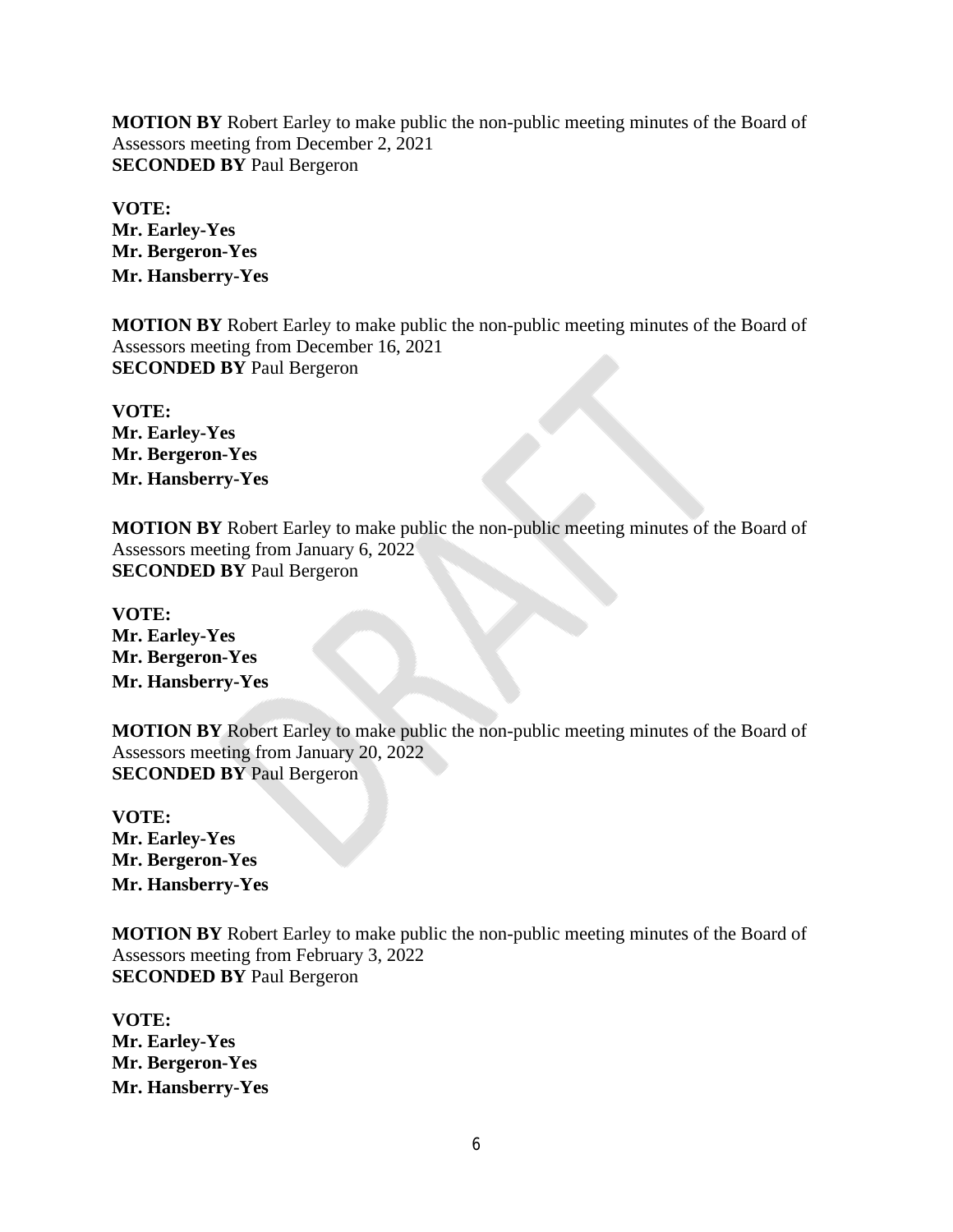**MOTION BY** Robert Earley to make public the non-public meeting minutes of the Board of Assessors meeting from December 2, 2021 **SECONDED BY** Paul Bergeron

**VOTE: Mr. Earley-Yes Mr. Bergeron-Yes Mr. Hansberry-Yes**

**MOTION BY** Robert Earley to make public the non-public meeting minutes of the Board of Assessors meeting from December 16, 2021 **SECONDED BY** Paul Bergeron

**VOTE: Mr. Earley-Yes Mr. Bergeron-Yes Mr. Hansberry-Yes**

**MOTION BY** Robert Earley to make public the non-public meeting minutes of the Board of Assessors meeting from January 6, 2022 **SECONDED BY** Paul Bergeron

**VOTE: Mr. Earley-Yes Mr. Bergeron-Yes Mr. Hansberry-Yes**

**MOTION BY** Robert Earley to make public the non-public meeting minutes of the Board of Assessors meeting from January 20, 2022 **SECONDED BY** Paul Bergeron

**VOTE: Mr. Earley-Yes Mr. Bergeron-Yes Mr. Hansberry-Yes**

**MOTION BY** Robert Earley to make public the non-public meeting minutes of the Board of Assessors meeting from February 3, 2022 **SECONDED BY** Paul Bergeron

**VOTE: Mr. Earley-Yes Mr. Bergeron-Yes Mr. Hansberry-Yes**